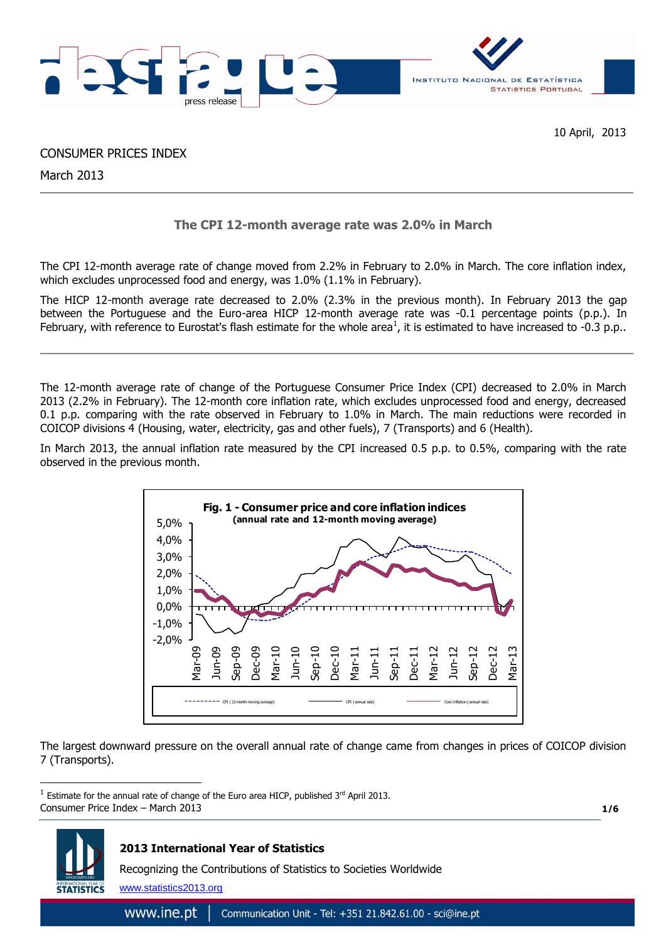

CONSUMER PRICES INDEX

March 2013

# **The CPI 12-month average rate was 2.0% in March**

The CPI 12-month average rate of change moved from 2.2% in February to 2.0% in March. The core inflation index, which excludes unprocessed food and energy, was 1.0% (1.1% in February).

The HICP 12-month average rate decreased to 2.0% (2.3% in the previous month). In February 2013 the gap between the Portuguese and the Euro-area HICP 12-month average rate was -0.1 percentage points (p.p.). In February, with reference to Eurostat's flash estimate for the whole area<sup>1</sup>, it is estimated to have increased to -0.3 p.p..

The 12-month average rate of change of the Portuguese Consumer Price Index (CPI) decreased to 2.0% in March 2013 (2.2% in February). The 12-month core inflation rate, which excludes unprocessed food and energy, decreased 0.1 p.p. comparing with the rate observed in February to 1.0% in March. The main reductions were recorded in COICOP divisions 4 (Housing, water, electricity, gas and other fuels), 7 (Transports) and 6 (Health).

In March 2013, the annual inflation rate measured by the CPI increased 0.5 p.p. to 0.5%, comparing with the rate observed in the previous month.



The largest downward pressure on the overall annual rate of change came from changes in prices of COICOP division 7 (Transports).

Consumer Price Index – March 2013 <sup>1</sup> Estimate for the annual rate of change of the Euro area HICP, published 3<sup>rd</sup> April 2013.

**1/6**



1

# **2013 International Year of Statistics**

Recognizing the Contributions of Statistics to Societies Worldwide

www.statistics2013.org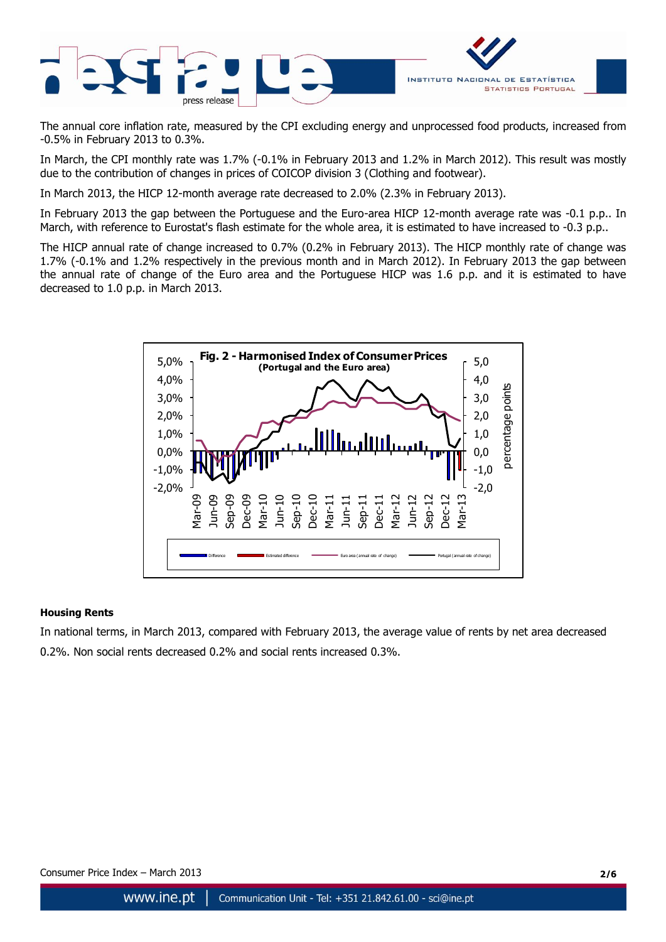

The annual core inflation rate, measured by the CPI excluding energy and unprocessed food products, increased from -0.5% in February 2013 to 0.3%.

In March, the CPI monthly rate was 1.7% (-0.1% in February 2013 and 1.2% in March 2012). This result was mostly due to the contribution of changes in prices of COICOP division 3 (Clothing and footwear).

In March 2013, the HICP 12-month average rate decreased to 2.0% (2.3% in February 2013).

In February 2013 the gap between the Portuguese and the Euro-area HICP 12-month average rate was -0.1 p.p.. In March, with reference to Eurostat's flash estimate for the whole area, it is estimated to have increased to -0.3 p.p..

The HICP annual rate of change increased to 0.7% (0.2% in February 2013). The HICP monthly rate of change was 1.7% (-0.1% and 1.2% respectively in the previous month and in March 2012). In February 2013 the gap between the annual rate of change of the Euro area and the Portuguese HICP was 1.6 p.p. and it is estimated to have decreased to 1.0 p.p. in March 2013.



### **Housing Rents**

In national terms, in March 2013, compared with February 2013, the average value of rents by net area decreased 0.2%. Non social rents decreased 0.2% and social rents increased 0.3%.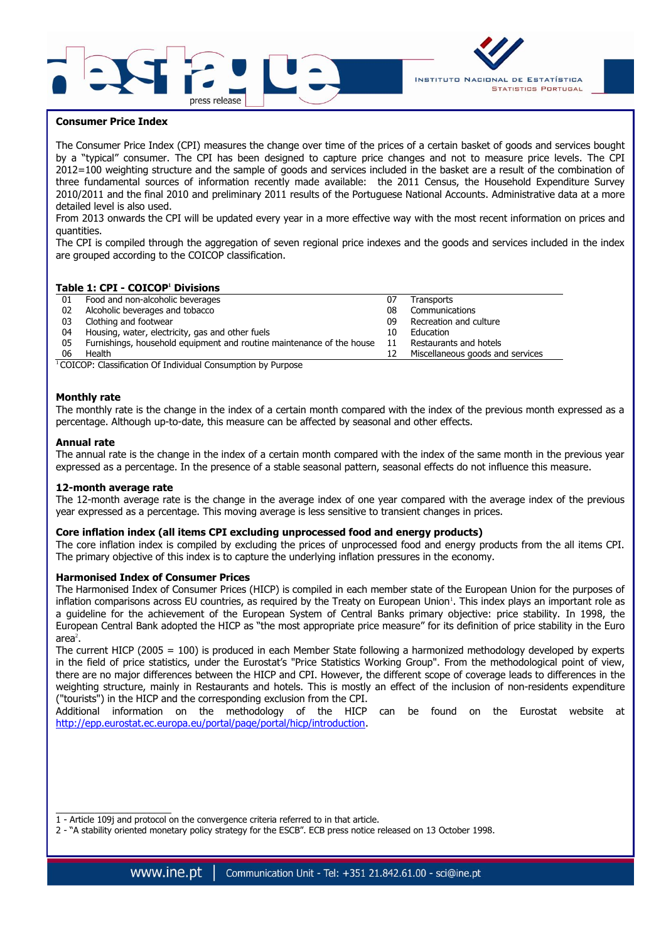



### **Consumer Price Index**

The Consumer Price Index (CPI) measures the change over time of the prices of a certain basket of goods and services bought by a "typical" consumer. The CPI has been designed to capture price changes and not to measure price levels. The CPI 2012=100 weighting structure and the sample of goods and services included in the basket are a result of the combination of three fundamental sources of information recently made available: the 2011 Census, the Household Expenditure Survey 2010/2011 and the final 2010 and preliminary 2011 results of the Portuguese National Accounts. Administrative data at a more detailed level is also used.

From 2013 onwards the CPI will be updated every year in a more effective way with the most recent information on prices and quantities.

The CPI is compiled through the aggregation of seven regional price indexes and the goods and services included in the index are grouped according to the COICOP classification.

### **Table 1: CPI - COICOP<sup>1</sup> Divisions**

| 01 | Food and non-alcoholic beverages                                      |    | Transports                       |
|----|-----------------------------------------------------------------------|----|----------------------------------|
| 02 | Alcoholic beverages and tobacco                                       | 08 | Communications                   |
| 03 | Clothing and footwear                                                 | 09 | Recreation and culture           |
| 04 | Housing, water, electricity, gas and other fuels                      | 10 | Education                        |
| 05 | Furnishings, household equipment and routine maintenance of the house | 11 | Restaurants and hotels           |
| 06 | Health                                                                |    | Miscellaneous goods and services |

<sup>1</sup>COICOP: Classification Of Individual Consumption by Purpose

#### **Monthly rate**

The monthly rate is the change in the index of a certain month compared with the index of the previous month expressed as a percentage. Although up-to-date, this measure can be affected by seasonal and other effects.

#### **Annual rate**

The annual rate is the change in the index of a certain month compared with the index of the same month in the previous year expressed as a percentage. In the presence of a stable seasonal pattern, seasonal effects do not influence this measure.

#### **12-month average rate**

 $\overline{\phantom{a}}$  , where the contract of the contract of the contract of the contract of the contract of the contract of the contract of the contract of the contract of the contract of the contract of the contract of the contr

The 12-month average rate is the change in the average index of one year compared with the average index of the previous year expressed as a percentage. This moving average is less sensitive to transient changes in prices.

### **Core inflation index (all items CPI excluding unprocessed food and energy products)**

The core inflation index is compiled by excluding the prices of unprocessed food and energy products from the all items CPI. The primary objective of this index is to capture the underlying inflation pressures in the economy.

#### **Harmonised Index of Consumer Prices**

The Harmonised Index of Consumer Prices (HICP) is compiled in each member state of the European Union for the purposes of inflation comparisons across EU countries, as required by the Treaty on European Union<sup>1</sup>. This index plays an important role as a guideline for the achievement of the European System of Central Banks primary objective: price stability. In 1998, the European Central Bank adopted the HICP as "the most appropriate price measure" for its definition of price stability in the Euro area $^2$ .

The current HICP (2005 = 100) is produced in each Member State following a harmonized methodology developed by experts in the field of price statistics, under the Eurostat's "Price Statistics Working Group". From the methodological point of view, there are no major differences between the HICP and CPI. However, the different scope of coverage leads to differences in the weighting structure, mainly in Restaurants and hotels. This is mostly an effect of the inclusion of non-residents expenditure ("tourists") in the HICP and the corresponding exclusion from the CPI.

Additional information on the methodology of the HICP can be found on the Eurostat website at [http://epp.eurostat.ec.europa.eu/portal/page/portal/hicp/introduction.](http://epp.eurostat.ec.europa.eu/portal/page/portal/hicp/introduction)

Consumer Price Index – March 2013 **3/6**

<sup>1 -</sup> Article 109j and protocol on the convergence criteria referred to in that article.

<sup>2 -</sup> "A stability oriented monetary policy strategy for the ESCB". ECB press notice released on 13 October 1998.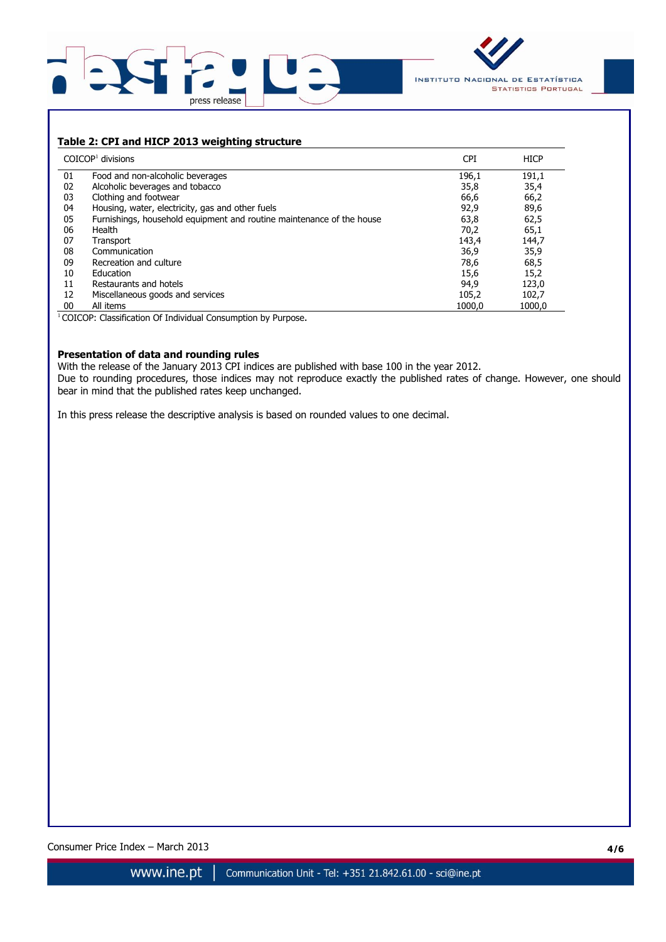



## **Table 2: CPI and HICP 2013 weighting structure**

|    | $COICOP1$ divisions                                                   | <b>CPI</b> | <b>HICP</b> |
|----|-----------------------------------------------------------------------|------------|-------------|
| 01 | Food and non-alcoholic beverages                                      | 196,1      | 191,1       |
| 02 | Alcoholic beverages and tobacco                                       | 35,8       | 35,4        |
| 03 | Clothing and footwear                                                 | 66,6       | 66,2        |
| 04 | Housing, water, electricity, gas and other fuels                      | 92,9       | 89,6        |
| 05 | Furnishings, household equipment and routine maintenance of the house | 63,8       | 62,5        |
| 06 | Health                                                                | 70,2       | 65,1        |
| 07 | Transport                                                             | 143,4      | 144,7       |
| 08 | Communication                                                         | 36,9       | 35,9        |
| 09 | Recreation and culture                                                | 78,6       | 68,5        |
| 10 | Education                                                             | 15,6       | 15,2        |
| 11 | Restaurants and hotels                                                | 94,9       | 123,0       |
| 12 | Miscellaneous goods and services                                      | 105,2      | 102,7       |
| 00 | All items                                                             | 1000.0     | 1000.0      |

<sup>1</sup> COICOP: Classification Of Individual Consumption by Purpose.

### **Presentation of data and rounding rules**

With the release of the January 2013 CPI indices are published with base 100 in the year 2012. Due to rounding procedures, those indices may not reproduce exactly the published rates of change. However, one should bear in mind that the published rates keep unchanged.

In this press release the descriptive analysis is based on rounded values to one decimal.

Consumer Price Index – March 2013 **4/6**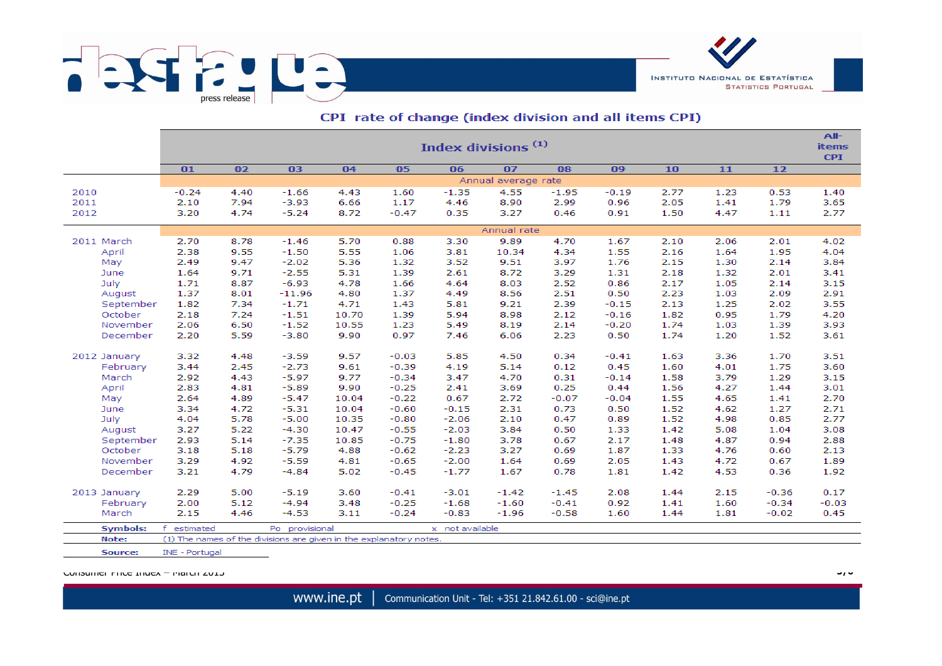

|                 | Index divisions <sup>(1)</sup>                                     |                     |                |       |         |                 |         |         |         |      | All-<br><b>items</b><br><b>CPI</b> |         |         |
|-----------------|--------------------------------------------------------------------|---------------------|----------------|-------|---------|-----------------|---------|---------|---------|------|------------------------------------|---------|---------|
|                 | 01                                                                 | 02                  | 03             | 04    | 05      | 06              | 07      | 08      | 09      | 10   | 11                                 | 12      |         |
|                 |                                                                    | Annual average rate |                |       |         |                 |         |         |         |      |                                    |         |         |
| 2010            | $-0.24$                                                            | 4.40                | $-1.66$        | 4.43  | 1.60    | $-1.35$         | 4.55    | $-1.95$ | $-0.19$ | 2.77 | 1.23                               | 0.53    | 1.40    |
| 2011            | 2.10                                                               | 7.94                | $-3.93$        | 6.66  | 1.17    | 4.46            | 8.90    | 2.99    | 0.96    | 2.05 | 1.41                               | 1.79    | 3.65    |
| 2012            | 3.20                                                               | 4.74                | $-5.24$        | 8.72  | $-0.47$ | 0.35            | 3.27    | 0.46    | 0.91    | 1.50 | 4.47                               | 1.11    | 2.77    |
|                 | Annual rate                                                        |                     |                |       |         |                 |         |         |         |      |                                    |         |         |
| 2011 March      | 2.70                                                               | 8.78                | $-1.46$        | 5.70  | 0.88    | 3.30            | 9.89    | 4.70    | 1.67    | 2.10 | 2.06                               | 2.01    | 4.02    |
| April           | 2.38                                                               | 9.55                | $-1.50$        | 5.55  | 1.06    | 3.81            | 10.34   | 4.34    | 1.55    | 2.16 | 1.64                               | 1.95    | 4.04    |
| May             | 2.49                                                               | 9.47                | $-2.02$        | 5.36  | 1.32    | 3.52            | 9.51    | 3.97    | 1.76    | 2.15 | 1.30                               | 2.14    | 3.84    |
| June            | 1.64                                                               | 9.71                | $-2.55$        | 5.31  | 1.39    | 2.61            | 8.72    | 3.29    | 1.31    | 2.18 | 1.32                               | 2.01    | 3.41    |
| July            | 1.71                                                               | 8.87                | $-6.93$        | 4.78  | 1.66    | 4.64            | 8.03    | 2.52    | 0.86    | 2.17 | 1.05                               | 2.14    | 3.15    |
| August          | 1.37                                                               | 8.01                | $-11.96$       | 4.80  | 1.37    | 4.49            | 8.56    | 2.51    | 0.50    | 2.23 | 1.03                               | 2.09    | 2.91    |
| September       | 1.82                                                               | 7.34                | $-1.71$        | 4.71  | 1.43    | 5.81            | 9.21    | 2.39    | $-0.15$ | 2.13 | 1.25                               | 2.02    | 3.55    |
| October         | 2.18                                                               | 7.24                | $-1.51$        | 10.70 | 1.39    | 5.94            | 8.98    | 2.12    | $-0.16$ | 1.82 | 0.95                               | 1.79    | 4.20    |
| November        | 2.06                                                               | 6.50                | $-1.52$        | 10.55 | 1.23    | 5.49            | 8.19    | 2.14    | $-0.20$ | 1.74 | 1.03                               | 1.39    | 3.93    |
| December        | 2.20                                                               | 5.59                | $-3.80$        | 9.90  | 0.97    | 7.46            | 6.06    | 2.23    | 0.50    | 1.74 | 1.20                               | 1.52    | 3.61    |
| 2012 January    | 3.32                                                               | 4.48                | $-3.59$        | 9.57  | $-0.03$ | 5.85            | 4.50    | 0.34    | $-0.41$ | 1.63 | 3.36                               | 1.70    | 3.51    |
| February        | 3.44                                                               | 2.45                | $-2.73$        | 9.61  | $-0.39$ | 4.19            | 5.14    | 0.12    | 0.45    | 1.60 | 4.01                               | 1.75    | 3.60    |
| March           | 2.92                                                               | 4.43                | $-5.97$        | 9.77  | $-0.34$ | 3.47            | 4.70    | 0.31    | $-0.14$ | 1.58 | 3.79                               | 1.29    | 3.15    |
| April           | 2.83                                                               | 4.81                | $-5.89$        | 9.90  | $-0.25$ | 2.41            | 3.69    | 0.25    | 0.44    | 1.56 | 4.27                               | 1.44    | 3.01    |
| May             | 2.64                                                               | 4.89                | $-5.47$        | 10.04 | $-0.22$ | 0.67            | 2.72    | $-0.07$ | $-0.04$ | 1.55 | 4.65                               | 1.41    | 2.70    |
| June            | 3.34                                                               | 4.72                | $-5.31$        | 10.04 | $-0.60$ | $-0.15$         | 2.31    | 0.73    | 0.50    | 1.52 | 4.62                               | 1.27    | 2.71    |
| July            | 4.04                                                               | 5.78                | $-5.00$        | 10.35 | $-0.80$ | $-2.06$         | 2.10    | 0.47    | 0.89    | 1.52 | 4.98                               | 0.85    | 2.77    |
| August          | 3.27                                                               | 5.22                | $-4.30$        | 10.47 | $-0.55$ | $-2.03$         | 3.84    | 0.50    | 1.33    | 1.42 | 5.08                               | 1.04    | 3.08    |
| September       | 2.93                                                               | 5.14                | $-7.35$        | 10.85 | $-0.75$ | $-1.80$         | 3.78    | 0.67    | 2.17    | 1.48 | 4.87                               | 0.94    | 2.88    |
| October         | 3.18                                                               | 5.18                | $-5.79$        | 4.88  | $-0.62$ | $-2.23$         | 3.27    | 0.69    | 1.87    | 1.33 | 4.76                               | 0.60    | 2.13    |
| November        | 3.29                                                               | 4.92                | $-5.59$        | 4.81  | $-0.65$ | $-2.00$         | 1.64    | 0.69    | 2.05    | 1.43 | 4.72                               | 0.67    | 1.89    |
| December        | 3.21                                                               | 4.79                | $-4.84$        | 5.02  | $-0.45$ | $-1.77$         | 1.67    | 0.78    | 1.81    | 1.42 | 4.53                               | 0.36    | 1.92    |
| 2013 January    | 2.29                                                               | 5.00                | $-5.19$        | 3.60  | $-0.41$ | $-3.01$         | $-1.42$ | $-1.45$ | 2.08    | 1.44 | 2.15                               | $-0.36$ | 0.17    |
| February        | 2.00                                                               | 5.12                | $-4.94$        | 3.48  | $-0.25$ | $-1.68$         | $-1.60$ | $-0.41$ | 0.92    | 1.41 | 1.60                               | $-0.34$ | $-0.03$ |
| March           | 2.15                                                               | 4.46                | $-4.53$        | 3.11  | $-0.24$ | $-0.83$         | $-1.96$ | $-0.58$ | 1.60    | 1.44 | 1.81                               | $-0.02$ | 0.45    |
| <b>Symbols:</b> | estimated<br>f.                                                    |                     | Po provisional |       |         | x not available |         |         |         |      |                                    |         |         |
| Note:           | (1) The names of the divisions are given in the explanatory notes. |                     |                |       |         |                 |         |         |         |      |                                    |         |         |

### CPI rate of change (index division and all items CPI)

Consumer Price Index – March 2013 **5/6**

Source:

INE - Portugal

INSTITUTO NACIONAL DE ESTATÍSTICA

**STATISTICS PORTUGAL**